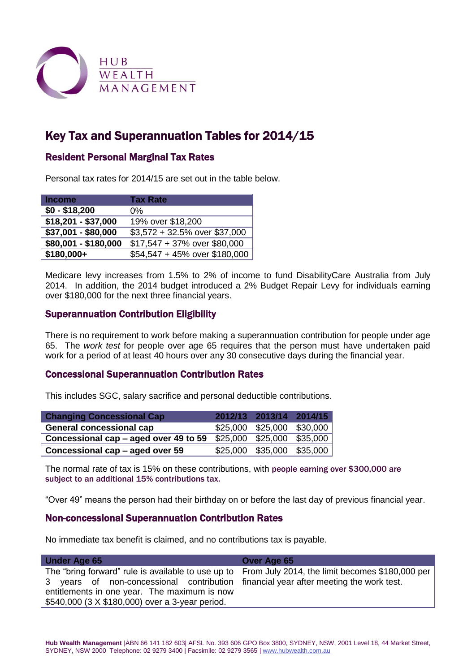

# Key Tax and Superannuation Tables for 2014/15

## Resident Personal Marginal Tax Rates

Personal tax rates for 2014/15 are set out in the table below.

| Income               | <b>Tax Rate</b>               |
|----------------------|-------------------------------|
| $$0 - $18,200$       | 0%                            |
| \$18,201 - \$37,000  | 19% over \$18,200             |
| \$37,001 - \$80,000  | \$3,572 + 32.5% over \$37,000 |
| $$80,001 - $180,000$ | \$17,547 + 37% over \$80,000  |
| \$180,000+           | \$54,547 + 45% over \$180,000 |

Medicare levy increases from 1.5% to 2% of income to fund DisabilityCare Australia from July 2014.In addition, the 2014 budget introduced a 2% Budget Repair Levy for individuals earning over \$180,000 for the next three financial years.

## Superannuation Contribution Eligibility

There is no requirement to work before making a superannuation contribution for people under age 65. The *work test* for people over age 65 requires that the person must have undertaken paid work for a period of at least 40 hours over any 30 consecutive days during the financial year.

## Concessional Superannuation Contribution Rates

This includes SGC, salary sacrifice and personal deductible contributions.

| <b>Changing Concessional Cap</b>      | 2012/13 2013/14 2014/15    |                               |
|---------------------------------------|----------------------------|-------------------------------|
| <b>General concessional cap</b>       | \$25,000 \$25,000 \$30,000 |                               |
| Concessional cap – aged over 49 to 59 | \$25,000 \$25,000 \$35,000 |                               |
| Concessional cap – aged over 59       |                            | $$25,000$ $$35,000$ $$35,000$ |

The normal rate of tax is 15% on these contributions, with people earning over \$300,000 are subject to an additional 15% contributions tax.

"Over 49" means the person had their birthday on or before the last day of previous financial year.

### Non-concessional Superannuation Contribution Rates

No immediate tax benefit is claimed, and no contributions tax is payable.

| <b>Under Age 65</b>                                                                                | Over Age 65 |
|----------------------------------------------------------------------------------------------------|-------------|
| The "bring forward" rule is available to use up to From July 2014, the limit becomes \$180,000 per |             |
| 3 years of non-concessional contribution financial year after meeting the work test.               |             |
| entitlements in one year. The maximum is now                                                       |             |
| \$540,000 (3 X \$180,000) over a 3-year period.                                                    |             |